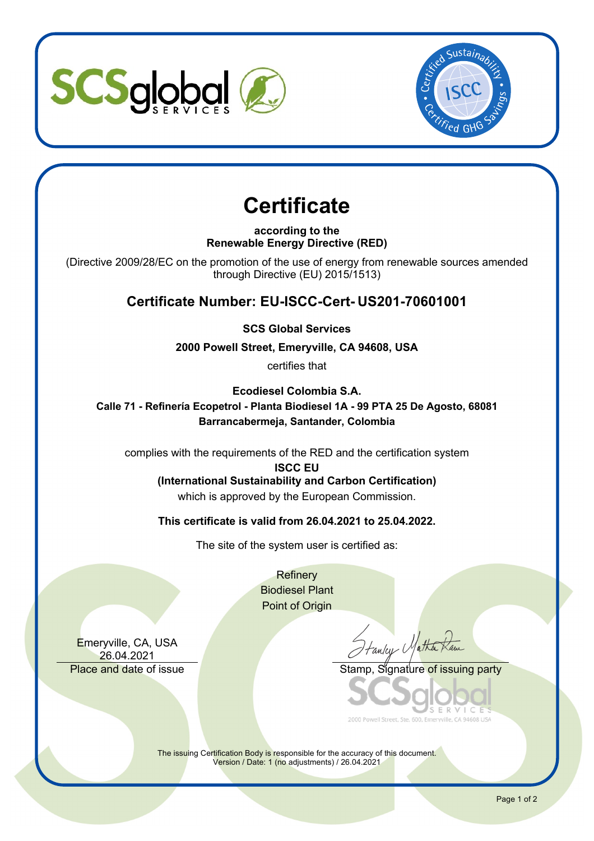



# **Certificate**

**according to the Renewable Energy Directive (RED)**

(Directive 2009/28/EC on the promotion of the use of energy from renewable sources amended through Directive (EU) 2015/1513)

## **Certificate Number: EU-ISCC-Cert- US201-70601001**

**SCS Global Services**

**2000 Powell Street, Emeryville, CA 94608, USA**

certifies that

**Ecodiesel Colombia S.A.**

**Calle 71 - Refinería Ecopetrol - Planta Biodiesel 1A - 99 PTA 25 De Agosto, 68081 Barrancabermeja, Santander, Colombia**

complies with the requirements of the RED and the certification system

**ISCC EU**

**(International Sustainability and Carbon Certification)** which is approved by the European Commission.

**This certificate is valid from 26.04.2021 to 25.04.2022.**

The site of the system user is certified as:

**Refinery** Biodiesel Plant Point of Origin

Emeryville, CA, USA 26.04.2021

Fanley Matha

Place and date of issue Stamp, Stamp, Stamp, Stamp of issuing party

2000 Powell Street, Ste. 600, Emerwille, CA 94608 USA

The issuing Certification Body is responsible for the accuracy of this document. Version / Date: 1 (no adjustments) / 26.04.2021

Page 1 of 2